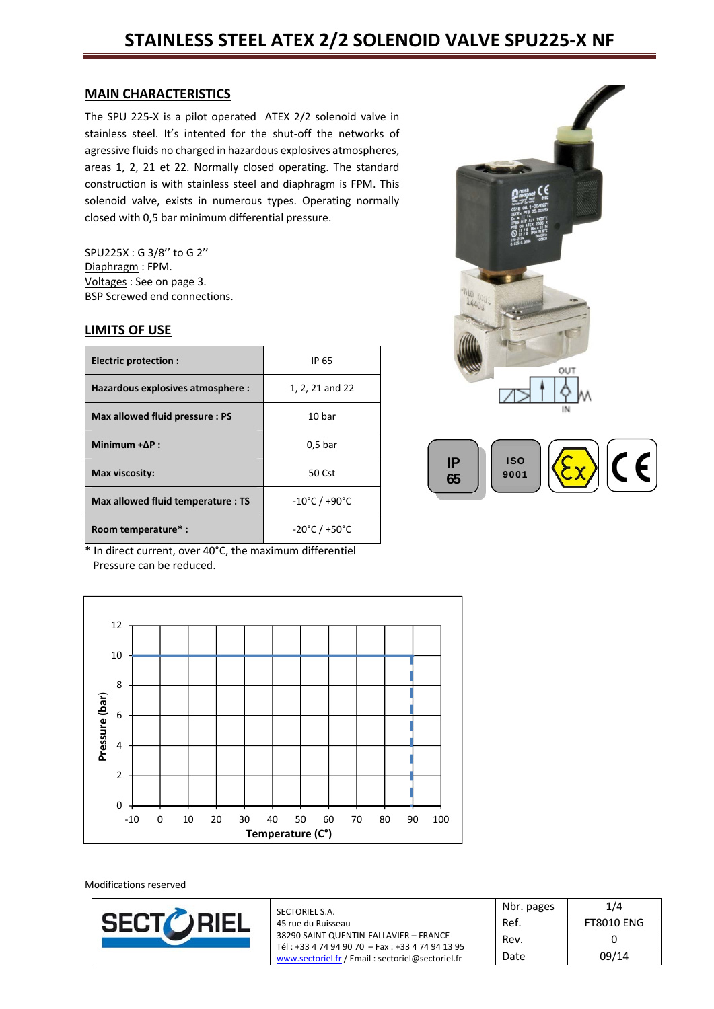# **STAINLESS STEEL ATEX 2/2 SOLENOID VALVE SPU225‐X NF**

#### **MAIN CHARACTERISTICS**

The SPU 225-X is a pilot operated ATEX 2/2 solenoid valve in stainless steel. It's intented for the shut‐off the networks of agressive fluids no charged in hazardous explosives atmospheres, areas 1, 2, 21 et 22. Normally closed operating. The standard construction is with stainless steel and diaphragm is FPM. This solenoid valve, exists in numerous types. Operating normally closed with 0,5 bar minimum differential pressure.

SPU225X : G 3/8'' to G 2'' Diaphragm : FPM. Voltages : See on page 3. BSP Screwed end connections.

#### **LIMITS OF USE**

| <b>Electric protection:</b>        | IP 65                              |
|------------------------------------|------------------------------------|
| Hazardous explosives atmosphere :  | 1, 2, 21 and 22                    |
| Max allowed fluid pressure : PS    | 10 bar                             |
| Minimum $+AP$ :                    | 0.5 <sub>bar</sub>                 |
| Max viscosity:                     | 50 Cst                             |
| Max allowed fluid temperature : TS | $-10^{\circ}$ C / $+90^{\circ}$ C  |
| Room temperature*:                 | $-20^{\circ}$ C / +50 $^{\circ}$ C |

\* In direct current, over 40°C, the maximum differentiel Pressure can be reduced.





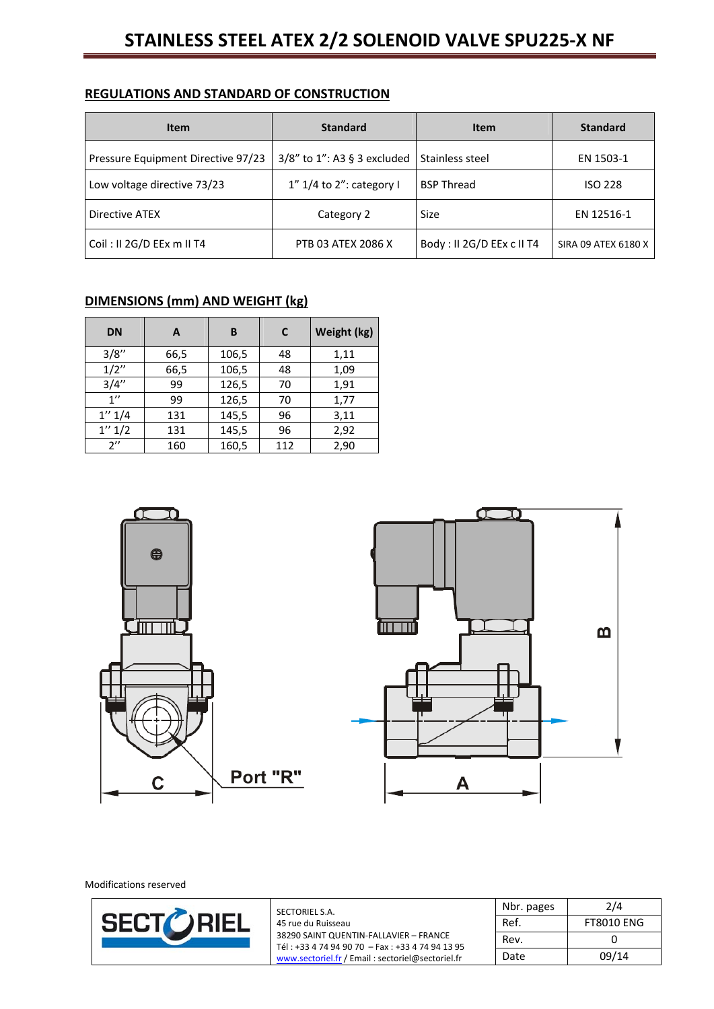#### **REGULATIONS AND STANDARD OF CONSTRUCTION**

| Item                               | <b>Standard</b>                | <b>Item</b>               | <b>Standard</b>     |
|------------------------------------|--------------------------------|---------------------------|---------------------|
| Pressure Equipment Directive 97/23 | $3/8$ " to 1": A3 § 3 excluded | Stainless steel           | EN 1503-1           |
| Low voltage directive 73/23        | 1" 1/4 to 2": category I       | <b>BSP Thread</b>         |                     |
| Directive ATEX                     | Category 2                     | Size                      | EN 12516-1          |
| Coil: II 2G/D EEx m II T4          | PTB 03 ATEX 2086 X             | Body: II 2G/D EEx c II T4 | SIRA 09 ATEX 6180 X |

# **DIMENSIONS (mm) AND WEIGHT (kg)**

| <b>DN</b>          | A    | B     | C   | Weight (kg) |
|--------------------|------|-------|-----|-------------|
| 3/8''              | 66,5 | 106,5 | 48  | 1,11        |
| 1/2''              | 66,5 | 106,5 | 48  | 1,09        |
| 3/4''              | 99   | 126,5 | 70  | 1,91        |
| 1''                | 99   | 126,5 | 70  | 1,77        |
| 1'' 1/4            | 131  | 145,5 | 96  | 3,11        |
| 1'' 1/2            | 131  | 145,5 | 96  | 2,92        |
| $2^{\prime\prime}$ | 160  | 160,5 | 112 | 2,90        |

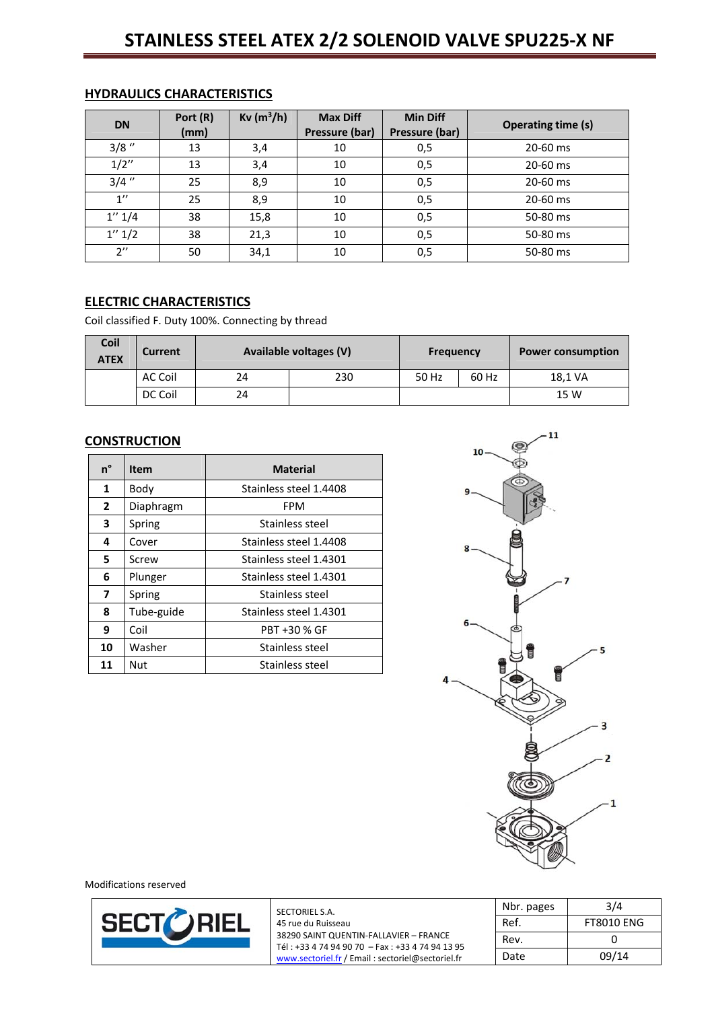# **STAINLESS STEEL ATEX 2/2 SOLENOID VALVE SPU225‐X NF**

| <b>DN</b>          | Port (R)<br>(mm) | $Kv (m^3/h)$ | <b>Max Diff</b><br>Pressure (bar) | <b>Min Diff</b><br>Pressure (bar) | <b>Operating time (s)</b> |
|--------------------|------------------|--------------|-----------------------------------|-----------------------------------|---------------------------|
| $3/8$ "            | 13               | 3,4          | 10                                | 0,5                               | 20-60 ms                  |
| 1/2''              | 13               | 3,4          | 10                                | 0,5                               | 20-60 ms                  |
| $3/4$ "            | 25               | 8,9          | 10                                | 0,5                               | 20-60 ms                  |
| $1^{\prime\prime}$ | 25               | 8,9          | 10                                | 0,5                               | 20-60 ms                  |
| 1'' 1/4            | 38               | 15,8         | 10                                | 0,5                               | 50-80 ms                  |
| 1'' 1/2            | 38               | 21,3         | 10                                | 0,5                               | 50-80 ms                  |
| $2^{\prime\prime}$ | 50               | 34,1         | 10                                | 0,5                               | 50-80 ms                  |

## **HYDRAULICS CHARACTERISTICS**

### **ELECTRIC CHARACTERISTICS**

Coil classified F. Duty 100%. Connecting by thread

| <b>Coil</b><br><b>ATEX</b> | Current | Available voltages (V) |     | <b>Frequency</b> |       | <b>Power consumption</b> |
|----------------------------|---------|------------------------|-----|------------------|-------|--------------------------|
|                            | AC Coil | 24                     | 230 | 50 Hz            | 60 Hz | 18,1 VA                  |
|                            | DC Coil | 24                     |     |                  |       | 15 W                     |

### **CONSTRUCTION**

| n°             | Item       | <b>Material</b>        |  |  |
|----------------|------------|------------------------|--|--|
| 1              | Body       | Stainless steel 1.4408 |  |  |
| 2              | Diaphragm  | FPM                    |  |  |
| 3              | Spring     | Stainless steel        |  |  |
| 4              | Cover      | Stainless steel 1.4408 |  |  |
| 5              | Screw      | Stainless steel 1.4301 |  |  |
| 6              | Plunger    | Stainless steel 1.4301 |  |  |
| $\overline{ }$ | Spring     | Stainless steel        |  |  |
| 8              | Tube-guide | Stainless steel 1.4301 |  |  |
| 9              | Coil       | PBT +30 % GF           |  |  |
| 10             | Washer     | Stainless steel        |  |  |
| 11             | Nut        | Stainless steel        |  |  |